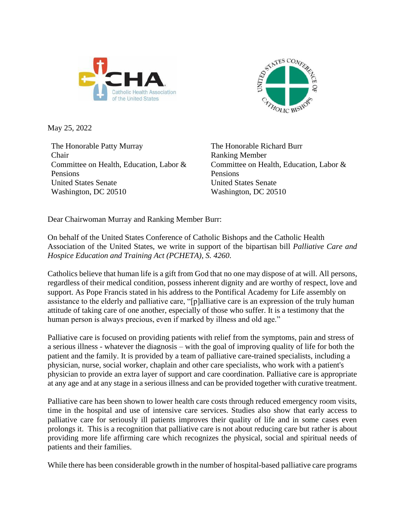



May 25, 2022

The Honorable Patty Murray Chair Committee on Health, Education, Labor & Pensions United States Senate Washington, DC 20510

The Honorable Richard Burr Ranking Member Committee on Health, Education, Labor & Pensions United States Senate Washington, DC 20510

Dear Chairwoman Murray and Ranking Member Burr:

On behalf of the United States Conference of Catholic Bishops and the Catholic Health Association of the United States, we write in support of the bipartisan bill *Palliative Care and Hospice Education and Training Act (PCHETA), S. 4260*.

Catholics believe that human life is a gift from God that no one may dispose of at will. All persons, regardless of their medical condition, possess inherent dignity and are worthy of respect, love and support. As Pope Francis stated in his address to the Pontifical Academy for Life assembly on assistance to the elderly and palliative care, "[p]alliative care is an expression of the truly human attitude of taking care of one another, especially of those who suffer. It is a testimony that the human person is always precious, even if marked by illness and old age."

Palliative care is focused on providing patients with relief from the symptoms, pain and stress of a serious illness - whatever the diagnosis – with the goal of improving quality of life for both the patient and the family. It is provided by a team of palliative care-trained specialists, including a physician, nurse, social worker, chaplain and other care specialists, who work with a patient's physician to provide an extra layer of support and care coordination. Palliative care is appropriate at any age and at any stage in a serious illness and can be provided together with curative treatment.

Palliative care has been shown to lower health care costs through reduced emergency room visits, time in the hospital and use of intensive care services. Studies also show that early access to palliative care for seriously ill patients improves their quality of life and in some cases even prolongs it. This is a recognition that palliative care is not about reducing care but rather is about providing more life affirming care which recognizes the physical, social and spiritual needs of patients and their families.

While there has been considerable growth in the number of hospital-based palliative care programs